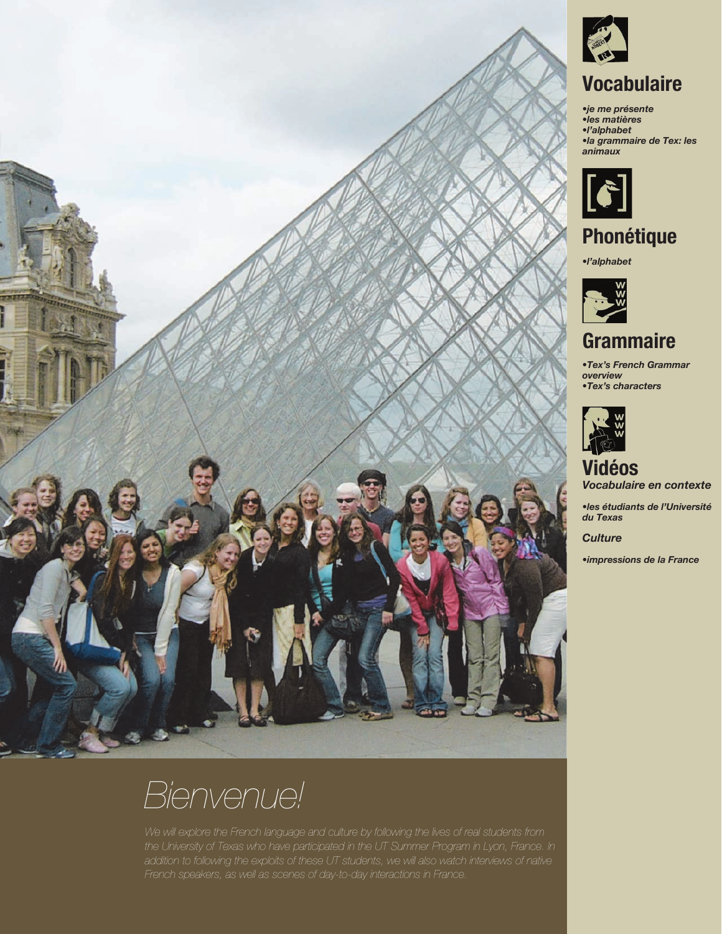



**Page 13 of 347** 2011 University of Texas at Austin COERLL - French Department **Page 13 of 259 CC** <sup>2010</sup> University of Texas at Austin TLTC - French Department - First Year French



# **Vocabulaire**

*•je me présente •les matières •l'alphabet •la grammaire de Tex: les animaux*



**Phonétique**

*•l'alphabet*



**Grammaire**

*•Tex's French Grammar overview •Tex's characters*



**Vidéos** *Vocabulaire en contexte*

*•les étudiants de l'Université du Texas*

*Culture*

*•impressions de la France*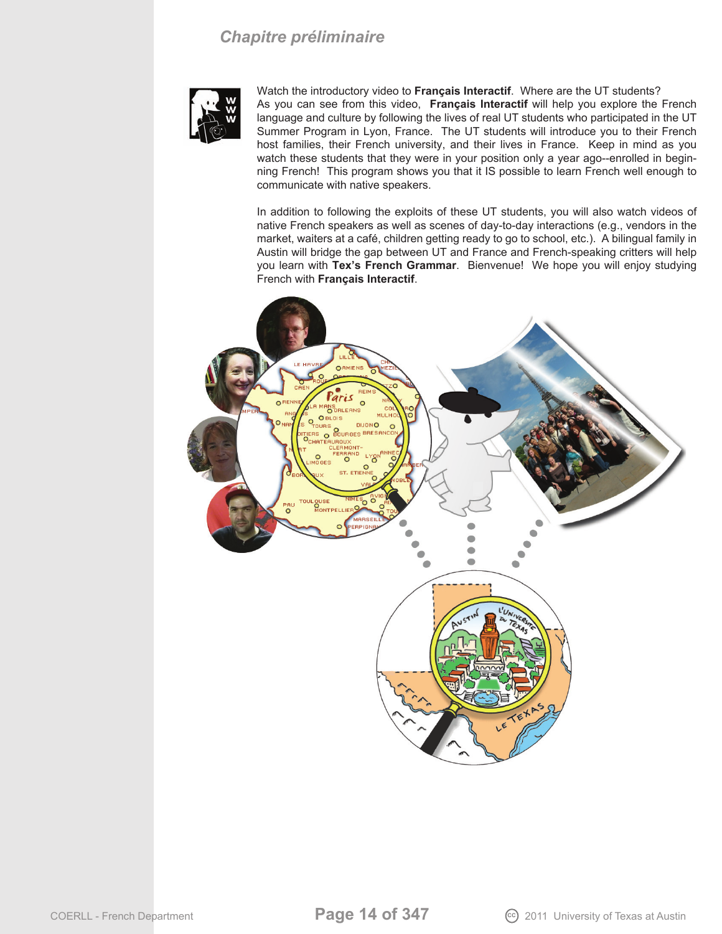### *Chapitre préliminaire*



Watch the introductory video to **Français Interactif**. Where are the UT students? As you can see from this video, **Français Interactif** will help you explore the French language and culture by following the lives of real UT students who participated in the UT Summer Program in Lyon, France. The UT students will introduce you to their French host families, their French university, and their lives in France. Keep in mind as you watch these students that they were in your position only a year ago--enrolled in beginning French! This program shows you that it IS possible to learn French well enough to communicate with native speakers.

In addition to following the exploits of these UT students, you will also watch videos of native French speakers as well as scenes of day-to-day interactions (e.g., vendors in the market, waiters at a café, children getting ready to go to school, etc.). A bilingual family in Austin will bridge the gap between UT and France and French-speaking critters will help you learn with **Tex's French Grammar**. Bienvenue! We hope you will enjoy studying French with **Français Interactif**.

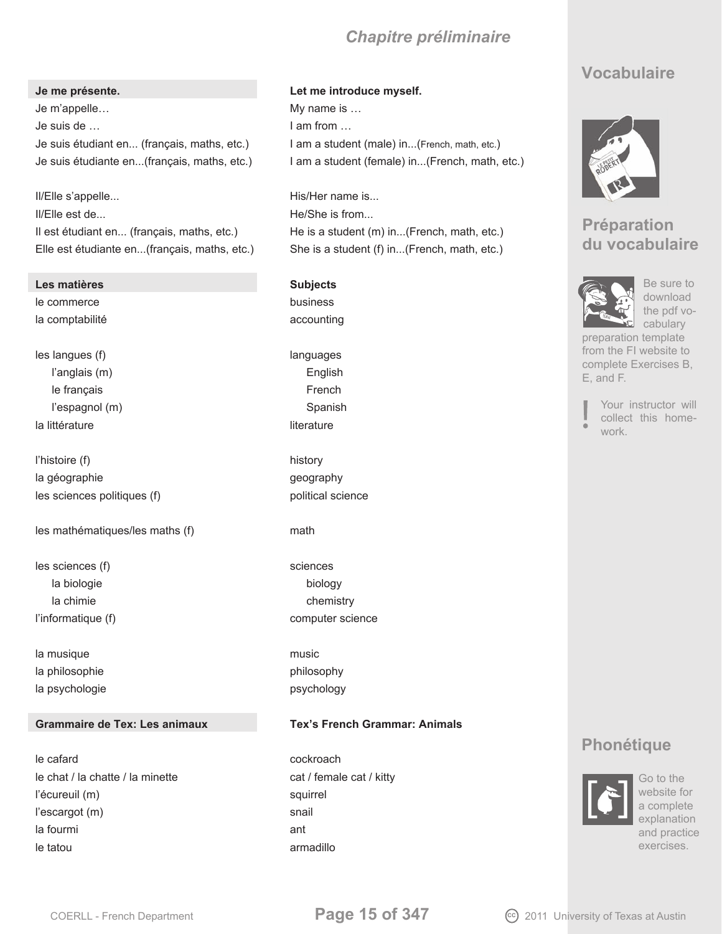## *Chapitre préliminaire*

Je m'appelle… et al. and the more is the My name is  $\ldots$ Je suis de … I am from … Je suis étudiant en... (français, maths, etc.) I am a student (male) in...(French, math, etc.)

II/Elle s'appelle... The state of the His/Her name is... II/Elle est de... The state of the state of the He/She is from... Il est étudiant en... (français, maths, etc.) He is a student (m) in...(French, math, etc.) Elle est étudiante en...(français, maths, etc.) She is a student (f) in...(French, math, etc.)

### **Les matières Subjects**

le commerce business la comptabilité de la comptabilité de la comptabilité de la communité de la communité de la communité de la co

les langues (f) languages languages l'anglais (m) English le français **French** l'espagnol (m) Spanish la littérature de la contrature de la literature de la literature de la literature de la literature de la liter

l'histoire (f) history la géographie quality and the geography les sciences politiques (f) example the political science

les mathématiques/les maths (f) math

les sciences (f) sciences (f) sciences la biologie biology la chimie chemistry l'informatique (f) computer science

la musique music la philosophie philosophy la psychologie psychology psychology

### **Grammaire de Tex: Les animaux Tex's French Grammar: Animals**

le cafard cockroach le chat / la chatte / la minette cat / female cat / kitty l'écureuil (m) squirrel l'escargot (m) snail la fourmi antication and anticode and anticode and anticode and anticode and anticode and anticode and anticod le tatou armadillo

### **Je me présente. Let me introduce myself.**

Je suis étudiante en...(français, maths, etc.) I am a student (female) in...(French, math, etc.)

## **Vocabulaire**



## **Préparation du vocabulaire**



Be sure to download the pdf vocabulary

preparation template from the FI website to complete Exercises B, E, and F.

- 
- Your instructor will collect this home-
- work.

## **Phonétique**



Go to the website for a complete explanation and practice exercises.